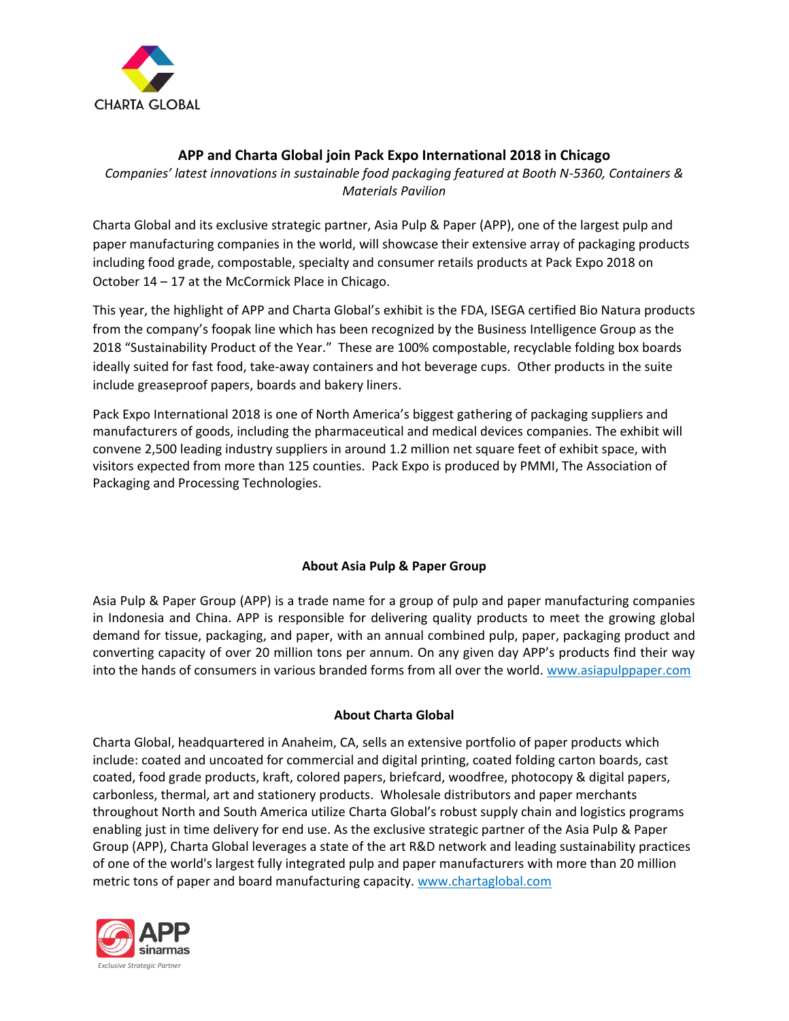

## **APP and Charta Global join Pack Expo International 2018 in Chicago**

*Companies' latest innovations in sustainable food packaging featured at Booth N-5360, Containers & Materials Pavilion*

Charta Global and its exclusive strategic partner, Asia Pulp & Paper (APP), one of the largest pulp and paper manufacturing companies in the world, will showcase their extensive array of packaging products including food grade, compostable, specialty and consumer retails products at Pack Expo 2018 on October 14 – 17 at the McCormick Place in Chicago.

This year, the highlight of APP and Charta Global's exhibit is the FDA, ISEGA certified Bio Natura products from the company's foopak line which has been recognized by the Business Intelligence Group as the 2018 "Sustainability Product of the Year." These are 100% compostable, recyclable folding box boards ideally suited for fast food, take-away containers and hot beverage cups. Other products in the suite include greaseproof papers, boards and bakery liners.

Pack Expo International 2018 is one of North America's biggest gathering of packaging suppliers and manufacturers of goods, including the pharmaceutical and medical devices companies. The exhibit will convene 2,500 leading industry suppliers in around 1.2 million net square feet of exhibit space, with visitors expected from more than 125 counties. Pack Expo is produced by PMMI, The Association of Packaging and Processing Technologies.

## **About Asia Pulp & Paper Group**

Asia Pulp & Paper Group (APP) is a trade name for a group of pulp and paper manufacturing companies in Indonesia and China. APP is responsible for delivering quality products to meet the growing global demand for tissue, packaging, and paper, with an annual combined pulp, paper, packaging product and converting capacity of over 20 million tons per annum. On any given day APP's products find their way into the hands of consumers in various branded forms from all over the world. www.asiapulppaper.com

## **About Charta Global**

Charta Global, headquartered in Anaheim, CA, sells an extensive portfolio of paper products which include: coated and uncoated for commercial and digital printing, coated folding carton boards, cast coated, food grade products, kraft, colored papers, briefcard, woodfree, photocopy & digital papers, carbonless, thermal, art and stationery products. Wholesale distributors and paper merchants throughout North and South America utilize Charta Global's robust supply chain and logistics programs enabling just in time delivery for end use. As the exclusive strategic partner of the Asia Pulp & Paper Group (APP), Charta Global leverages a state of the art R&D network and leading sustainability practices of one of the world's largest fully integrated pulp and paper manufacturers with more than 20 million metric tons of paper and board manufacturing capacity. [www.chartaglobal.com](http://www.chartaglobal.com/)